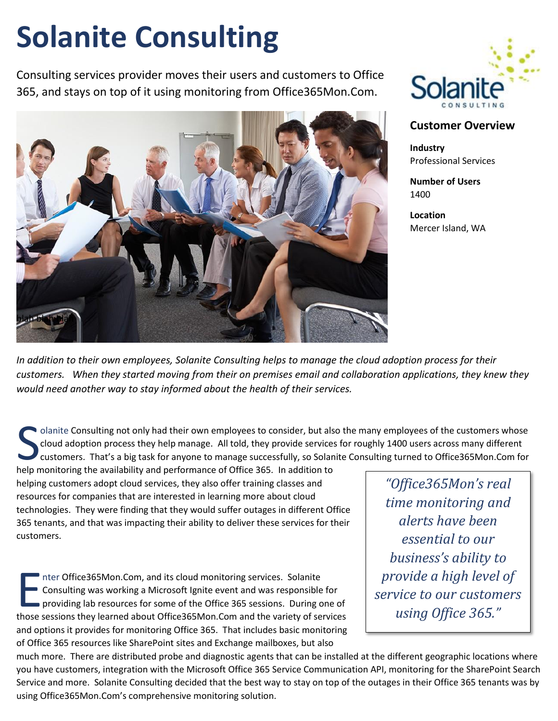## **Solanite Consulting**

Consulting services provider moves their users and customers to Office 365, and stays on top of it using monitoring from Office365Mon.Com.





## **Customer Overview**

**Industry** Professional Services

**Number of Users** 1400

**Location** Mercer Island, WA

*In addition to their own employees, Solanite Consulting helps to manage the cloud adoption process for their customers. When they started moving from their on premises email and collaboration applications, they knew they would need another way to stay informed about the health of their services.*

olanite Consulting not only had their own employees to consider, but also the many employees of the customers whose cloud adoption process they help manage. All told, they provide services for roughly 1400 users across many different customers. That's a big task for anyone to manage successfully, so Solanite Consulting turned to Office365Mon.Com for I clanite Consulting not only had their own employees to consider, but als cloud adoption process they help manage. All told, they provide services customers. That's a big task for anyone to manage successfully, so Solan h

helping customers adopt cloud services, they also offer training classes and resources for companies that are interested in learning more about cloud technologies. They were finding that they would suffer outages in different Office 365 tenants, and that was impacting their ability to deliver these services for their customers.

nter Office365Mon.Com, and its cloud monitoring services. Solanite Consulting was working a Microsoft Ignite event and was responsible for providing lab resources for some of the Office 365 sessions. During one of The sessions of the Office365Mon.Com, and its cloud monitoring services. Solanite<br>
Consulting was working a Microsoft Ignite event and was responsible for<br>
providing lab resources for some of the Office 365 sessions. Durin and options it provides for monitoring Office 365. That includes basic monitoring of Office 365 resources like SharePoint sites and Exchange mailboxes, but also

*"Office365Mon's real time monitoring and alerts have been essential to our business's ability to provide a high level of service to our customers using Office 365."*

much more. There are distributed probe and diagnostic agents that can be installed at the different geographic locations where you have customers, integration with the Microsoft Office 365 Service Communication API, monitoring for the SharePoint Search Service and more. Solanite Consulting decided that the best way to stay on top of the outages in their Office 365 tenants was by using Office365Mon.Com's comprehensive monitoring solution.